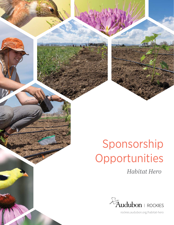# Sponsorship Opportunities

*Habitat Hero*

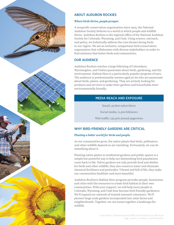

### ABOUT AUDUBON ROCKIES

#### *Where birds thrive, people prosper.*

A nonprofit conservation organization since 1905, the National Audubon Society believes in a world in which people and wildlife thrive. Audubon Rockies is the regional office of the National Audubon Society for Colorado, Wyoming, and Utah. Using science, outreach, and policy, we holistically address the core threats facing birds in our region. We are an inclusive, nonpartisan bird conservation organization that collaborates with diverse stakeholders in order to find solutions that better birds and communities.

#### OUR AUDIENCE

Audubon Rockies reaches a large following of Coloradans, Wyomingites, and Utahns passionate about birds, gardening, and the environment. Habitat Hero is a particularly popular program of ours. The audience is predominantly women aged 50-60 who are passionate about birds, plants, and gardening. They are actively looking for products and services to make their gardens and households more environmentally friendly.

#### MEDIA REACH AND EXPOSURE

Email: 40,800 subscribers

Social media: 11,300 followers

Web traffic: 132,500 annual pageviews

### WHY BIRD-FRIENDLY GARDENS ARE CRITICAL

#### *Planting a better world for birds and people.*

As our communities grow, the native plants that birds, pollinators, and other wildlife depend on are vanishing. Fortunately, we can do something about it.

Planting native plants in residential gardens and public spaces is a simple but powerful way to help our diminishing bird populations come back to life. Native gardens not only provide food and shelter for birds and other wildlife, they also conserve water and eliminate chemical fertilizers and pesticides. Vibrant and full of life, they make our communities healthier and more beautiful.

Audubon Rockies's Habitat Hero program provides people, businesses, and cities with the resources to create bird habitat in their own communities. With your support, we will help more people in Colorado, Wyoming, and Utah how become bird-friendly gardeners. We'll expand our network of trained outreach volunteers. We'll pioneer large-scale gardens incorporated into solar farms and neighborhoods. Together, we can weave together a landscape for wildlife.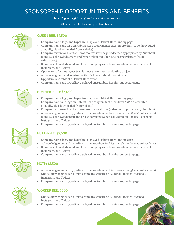## SPONSORSHIP OPPORTUNITIES AND BENEFITS

*Investing in the future of our birds and communities*

All benefits refer to a one-year timeframe.



#### QUEEN BEE: \$7,500

- Company name, logo, and hyperlink displayed Habitat Hero landing page
- Company name and logo on Habitat Hero program fact sheet (more than 3,000 distributed annually, plus downloaded from website)
- Company feature on Habitat Hero [resources webpage](https://rockies.audubon.org/habitat-hero/resources) (if deemed appropriate by Audubon)
- Biannual acknowledgement and hyperlink in Audubon Rockies newsletters (38,000 subscribers)
- Biannual acknowledgment and link to company website on Audubon Rockies' Facebook, Instagram, and Twitter
- Opportunity for employees to volunteer at community planting project
- Acknowledgment and logo in credits of all new Habitat Hero videos
- Opportunity to table at a Habitat Hero event
- Company name and hyperlink displayed on Audubon Rockies' supporter page.



#### HUMMINGBIRD: \$5,000

- Company name, logo, and hyperlink displayed Habitat Hero landing page
- Company name and logo on Habitat Hero program fact sheet (over 3,000 distributed annually, plus downloaded from website)
- Company feature on Habitat Hero [resources webpage](https://rockies.audubon.org/habitat-hero/resources) (if deemed appropriate by Audubon)
- Acknowledgement and hyperlink in one Audubon Rockies' newsletter (38,000 subscribers)
- Biannual acknowledgment and link to company website on Audubon Rockies' Facebook, Instagram, and Twitter
- Company name and hyperlink displayed on Audubon Rockies' supporter page.

### BUTTERFLY: \$2,500

- Company name, logo, and hyperlink displayed Habitat Hero landing page
- Acknowledgement and hyperlink in one Audubon Rockies' newsletter (38,000 subscribers)
- Biannual acknowledgment and link to company website on Audubon Rockies' Facebook, Instagram, and Twitter
- Company name and hyperlink displayed on Audubon Rockies' supporter page.



### MOTH: \$1,500

- Acknowledgement and hyperlink in one Audubon Rockies' newsletter (38,000 subscribers)
- One acknowledgment and link to company website on Audubon Rockies' Facebook, Instagram, and Twitter
- Company name and hyperlink displayed on Audubon Rockies' supporter page.



#### WORKER BEE: \$500

- One acknowledgment and link to company website on Audubon Rockies' Facebook, Instagram, and Twitter
- Company name and hyperlink displayed on Audubon Rockies' supporter page.